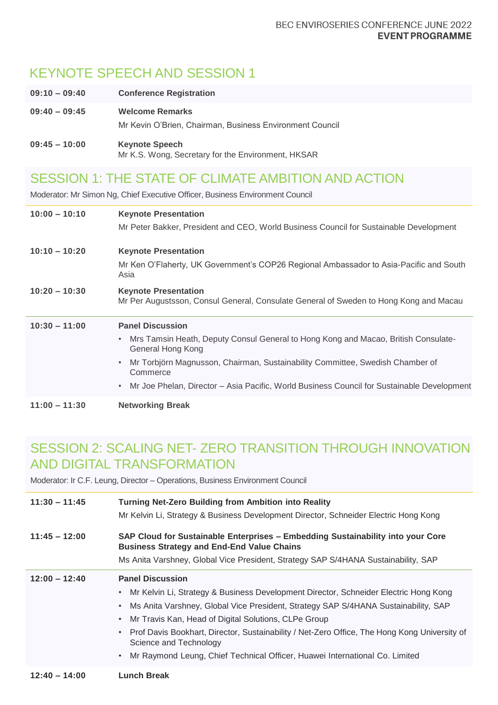# KEYNOTE SPEECH AND SESSION 1

| $09:10 - 09:40$ | <b>Conference Registration</b>                                                     |
|-----------------|------------------------------------------------------------------------------------|
| $09:40 - 09:45$ | <b>Welcome Remarks</b><br>Mr Kevin O'Brien, Chairman, Business Environment Council |
| $09:45 - 10:00$ | <b>Keynote Speech</b><br>Mr K.S. Wong, Secretary for the Environment, HKSAR        |

## SESSION 1: THE STATE OF CLIMATE AMBITION AND ACTION

Moderator: Mr Simon Ng, Chief Executive Officer, Business Environment Council

| $10:00 - 10:10$ | <b>Keynote Presentation</b><br>Mr Peter Bakker, President and CEO, World Business Council for Sustainable Development                                                                                                                                                                                                                                                |
|-----------------|----------------------------------------------------------------------------------------------------------------------------------------------------------------------------------------------------------------------------------------------------------------------------------------------------------------------------------------------------------------------|
| $10:10 - 10:20$ | <b>Keynote Presentation</b><br>Mr Ken O'Flaherty, UK Government's COP26 Regional Ambassador to Asia-Pacific and South<br>Asia                                                                                                                                                                                                                                        |
| $10:20 - 10:30$ | <b>Keynote Presentation</b><br>Mr Per Augustsson, Consul General, Consulate General of Sweden to Hong Kong and Macau                                                                                                                                                                                                                                                 |
|                 |                                                                                                                                                                                                                                                                                                                                                                      |
| $10:30 - 11:00$ | <b>Panel Discussion</b><br>Mrs Tamsin Heath, Deputy Consul General to Hong Kong and Macao, British Consulate-<br>$\bullet$<br>General Hong Kong<br>Mr Torbjörn Magnusson, Chairman, Sustainability Committee, Swedish Chamber of<br>$\bullet$<br>Commerce<br>Mr Joe Phelan, Director – Asia Pacific, World Business Council for Sustainable Development<br>$\bullet$ |

### SESSION 2: SCALING NET- ZERO TRANSITION THROUGH INNOVATION AND DIGITAL TRANSFORMATION

Moderator: Ir C.F. Leung, Director – Operations, Business Environment Council

| $11:30 - 11:45$ | <b>Turning Net-Zero Building from Ambition into Reality</b><br>Mr Kelvin Li, Strategy & Business Development Director, Schneider Electric Hong Kong                                                                                                                                                                                                                                                                                                                                                |
|-----------------|----------------------------------------------------------------------------------------------------------------------------------------------------------------------------------------------------------------------------------------------------------------------------------------------------------------------------------------------------------------------------------------------------------------------------------------------------------------------------------------------------|
| $11:45 - 12:00$ | SAP Cloud for Sustainable Enterprises - Embedding Sustainability into your Core<br><b>Business Strategy and End-End Value Chains</b>                                                                                                                                                                                                                                                                                                                                                               |
|                 | Ms Anita Varshney, Global Vice President, Strategy SAP S/4HANA Sustainability, SAP                                                                                                                                                                                                                                                                                                                                                                                                                 |
| $12:00 - 12:40$ | <b>Panel Discussion</b><br>Mr Kelvin Li, Strategy & Business Development Director, Schneider Electric Hong Kong<br>$\bullet$<br>Ms Anita Varshney, Global Vice President, Strategy SAP S/4HANA Sustainability, SAP<br>Mr Travis Kan, Head of Digital Solutions, CLPe Group<br>$\bullet$<br>• Prof Davis Bookhart, Director, Sustainability / Net-Zero Office, The Hong Kong University of<br>Science and Technology<br>Mr Raymond Leung, Chief Technical Officer, Huawei International Co. Limited |
| $12:40 - 14:00$ | <b>Lunch Break</b>                                                                                                                                                                                                                                                                                                                                                                                                                                                                                 |